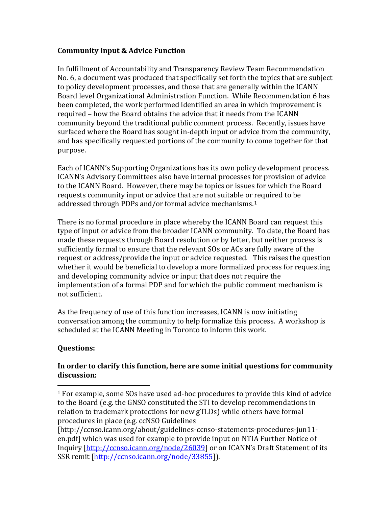## **Community Input & Advice Function**

In fulfillment of Accountability and Transparency Review Team Recommendation No. 6, a document was produced that specifically set forth the topics that are subject to policy development processes, and those that are generally within the ICANN Board level Organizational Administration Function. While Recommendation 6 has been completed, the work performed identified an area in which improvement is required – how the Board obtains the advice that it needs from the ICANN community beyond the traditional public comment process. Recently, issues have surfaced where the Board has sought in-depth input or advice from the community, and has specifically requested portions of the community to come together for that purpose.

Each of ICANN's Supporting Organizations has its own policy development process. ICANN's Advisory Committees also have internal processes for provision of advice to the ICANN Board. However, there may be topics or issues for which the Board requests community input or advice that are not suitable or [r](#page-0-0)equired to be addressed through PDPs and/or formal advice mechanisms. 1

There is no formal procedure in place whereby the ICANN Board can request this type of input or advice from the broader ICANN community. To date, the Board has made these requests through Board resolution or by letter, but neither process is sufficiently formal to ensure that the relevant SOs or ACs are fully aware of the request or address/provide the input or advice requested. This raises the question whether it would be beneficial to develop a more formalized process for requesting and developing community advice or input that does not require the implementation of a formal PDP and for which the public comment mechanism is not sufficient.

As the frequency of use of this function increases, ICANN is now initiating conversation among the community to help formalize this process. A workshop is scheduled at the ICANN Meeting in Toronto to inform this work.

# **Questions:**

## **In order to clarify this function, here are some initial questions for community discussion:**

<span id="page-0-0"></span> <sup>1</sup> For example, some SOs have used ad-hoc procedures to provide this kind of advice to the Board (e.g. the GNSO constituted the STI to develop recommendations in relation to trademark protections for new gTLDs) while others have formal procedures in place (e.g. ccNSO Guidelines

<sup>[</sup>http://ccnso.icann.org/about/guidelines-ccnso-statements-procedures-jun11 en.pdf] which was used for example to provide input on NTIA Further Notice of Inquiry [\[http://ccnso.icann.org/node/26039\]](http://ccnso.icann.org/node/26039) or on ICANN's Draft Statement of its SSR remit [\[http://ccnso.icann.org/node/33855\]](http://ccnso.icann.org/node/33855)).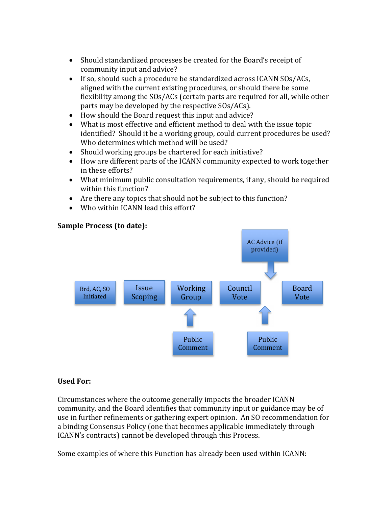- Should standardized processes be created for the Board's receipt of community input and advice?
- If so, should such a procedure be standardized across ICANN SOs/ACs, aligned with the current existing procedures, or should there be some flexibility among the SOs/ACs (certain parts are required for all, while other parts may be developed by the respective SOs/ACs).
- How should the Board request this input and advice?
- What is most effective and efficient method to deal with the issue topic identified? Should it be a working group, could current procedures be used? Who determines which method will be used?
- Should working groups be chartered for each initiative?
- How are different parts of the ICANN community expected to work together in these efforts?
- What minimum public consultation requirements, if any, should be required within this function?
- Are there any topics that should not be subject to this function?
- Who within ICANN lead this effort?



## **Sample Process (to date):**

### **Used For:**

Circumstances where the outcome generally impacts the broader ICANN community, and the Board identifies that community input or guidance may be of use in further refinements or gathering expert opinion. An SO recommendation for a binding Consensus Policy (one that becomes applicable immediately through ICANN's contracts) cannot be developed through this Process.

Some examples of where this Function has already been used within ICANN: